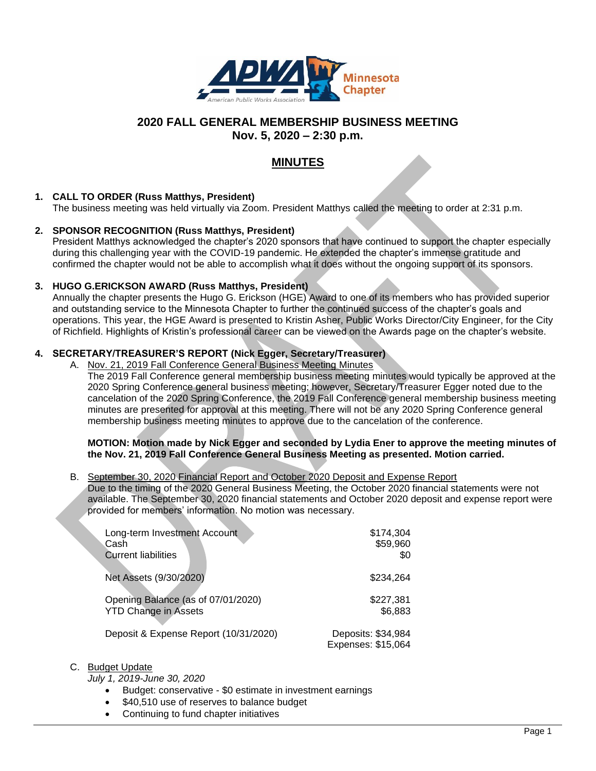

# **2020 FALL GENERAL MEMBERSHIP BUSINESS MEETING Nov. 5, 2020 – 2:30 p.m.**

# **MINUTES**

# **1. CALL TO ORDER (Russ Matthys, President)**

The business meeting was held virtually via Zoom. President Matthys called the meeting to order at 2:31 p.m.

### **2. SPONSOR RECOGNITION (Russ Matthys, President)**

President Matthys acknowledged the chapter's 2020 sponsors that have continued to support the chapter especially during this challenging year with the COVID-19 pandemic. He extended the chapter's immense gratitude and confirmed the chapter would not be able to accomplish what it does without the ongoing support of its sponsors.

### **3. HUGO G.ERICKSON AWARD (Russ Matthys, President)**

Annually the chapter presents the Hugo G. Erickson (HGE) Award to one of its members who has provided superior and outstanding service to the Minnesota Chapter to further the continued success of the chapter's goals and operations. This year, the HGE Award is presented to Kristin Asher, Public Works Director/City Engineer, for the City of Richfield. Highlights of Kristin's professional career can be viewed on the Awards page on the chapter's website.

# **4. SECRETARY/TREASURER'S REPORT (Nick Egger, Secretary/Treasurer)**

A. Nov. 21, 2019 Fall Conference General Business Meeting Minutes

The 2019 Fall Conference general membership business meeting minutes would typically be approved at the 2020 Spring Conference general business meeting; however, Secretary/Treasurer Egger noted due to the cancelation of the 2020 Spring Conference, the 2019 Fall Conference general membership business meeting minutes are presented for approval at this meeting. There will not be any 2020 Spring Conference general membership business meeting minutes to approve due to the cancelation of the conference.

#### **MOTION: Motion made by Nick Egger and seconded by Lydia Ener to approve the meeting minutes of the Nov. 21, 2019 Fall Conference General Business Meeting as presented. Motion carried.**

#### B. September 30, 2020 Financial Report and October 2020 Deposit and Expense Report Due to the timing of the 2020 General Business Meeting, the October 2020 financial statements were not available. The September 30, 2020 financial statements and October 2020 deposit and expense report were provided for members' information. No motion was necessary.

| Long-term Investment Account          | \$174,304                                |
|---------------------------------------|------------------------------------------|
| Cash                                  | \$59,960                                 |
| <b>Current liabilities</b>            | \$0                                      |
| Net Assets (9/30/2020)                | \$234.264                                |
| Opening Balance (as of 07/01/2020)    | \$227,381                                |
| <b>YTD Change in Assets</b>           | \$6,883                                  |
| Deposit & Expense Report (10/31/2020) | Deposits: \$34,984<br>Expenses: \$15,064 |

#### C. Budget Update

*July 1, 2019-June 30, 2020*

- Budget: conservative \$0 estimate in investment earnings
- \$40,510 use of reserves to balance budget
- Continuing to fund chapter initiatives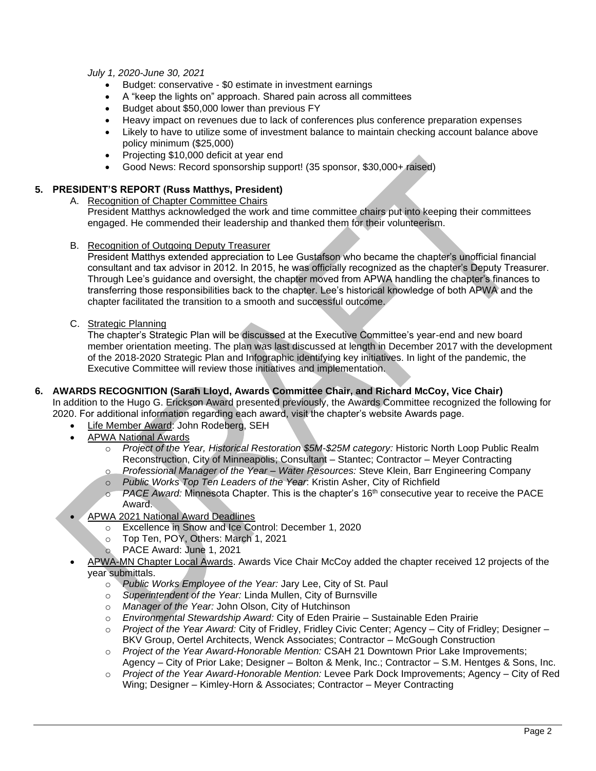*July 1, 2020-June 30, 2021*

- Budget: conservative \$0 estimate in investment earnings
- A "keep the lights on" approach. Shared pain across all committees
- Budget about \$50,000 lower than previous FY
- Heavy impact on revenues due to lack of conferences plus conference preparation expenses
- Likely to have to utilize some of investment balance to maintain checking account balance above policy minimum (\$25,000)
- Projecting \$10,000 deficit at year end
- Good News: Record sponsorship support! (35 sponsor, \$30,000+ raised)

# **5. PRESIDENT'S REPORT (Russ Matthys, President)**

- A. Recognition of Chapter Committee Chairs President Matthys acknowledged the work and time committee chairs put into keeping their committees engaged. He commended their leadership and thanked them for their volunteerism.
- B. Recognition of Outgoing Deputy Treasurer

President Matthys extended appreciation to Lee Gustafson who became the chapter's unofficial financial consultant and tax advisor in 2012. In 2015, he was officially recognized as the chapter's Deputy Treasurer. Through Lee's guidance and oversight, the chapter moved from APWA handling the chapter's finances to transferring those responsibilities back to the chapter. Lee's historical knowledge of both APWA and the chapter facilitated the transition to a smooth and successful outcome.

C. Strategic Planning

The chapter's Strategic Plan will be discussed at the Executive Committee's year-end and new board member orientation meeting. The plan was last discussed at length in December 2017 with the development of the 2018-2020 Strategic Plan and Infographic identifying key initiatives. In light of the pandemic, the Executive Committee will review those initiatives and implementation.

**6. AWARDS RECOGNITION (Sarah Lloyd, Awards Committee Chair, and Richard McCoy, Vice Chair)**

In addition to the Hugo G. Erickson Award presented previously, the Awards Committee recognized the following for 2020. For additional information regarding each award, visit the chapter's website Awards page.

- Life Member Award: John Rodeberg, SEH
- APWA National Awards
	- o *Project of the Year, Historical Restoration \$5M-\$25M category:* Historic North Loop Public Realm Reconstruction, City of Minneapolis; Consultant – Stantec; Contractor – Meyer Contracting
	- o *Professional Manager of the Year – Water Resources:* Steve Klein, Barr Engineering Company
	- o *Public Works Top Ten Leaders of the Year*: Kristin Asher, City of Richfield
	- PACE Award: Minnesota Chapter. This is the chapter's 16<sup>th</sup> consecutive year to receive the PACE Award.
- APWA 2021 National Award Deadlines
	- o Excellence in Snow and Ice Control: December 1, 2020
	- o Top Ten, POY, Others: March 1, 2021
	- o PACE Award: June 1, 2021
- APWA-MN Chapter Local Awards. Awards Vice Chair McCoy added the chapter received 12 projects of the year submittals.
	- o *Public Works Employee of the Year:* Jary Lee, City of St. Paul
	- o *Superintendent of the Year:* Linda Mullen, City of Burnsville
	- o *Manager of the Year:* John Olson, City of Hutchinson
	- o *Environmental Stewardship Award:* City of Eden Prairie Sustainable Eden Prairie
	- o *Project of the Year Award:* City of Fridley, Fridley Civic Center; Agency City of Fridley; Designer BKV Group, Oertel Architects, Wenck Associates; Contractor – McGough Construction
	- o *Project of the Year Award-Honorable Mention:* CSAH 21 Downtown Prior Lake Improvements; Agency – City of Prior Lake; Designer – Bolton & Menk, Inc.; Contractor – S.M. Hentges & Sons, Inc.
	- o *Project of the Year Award-Honorable Mention:* Levee Park Dock Improvements; Agency City of Red Wing; Designer – Kimley-Horn & Associates; Contractor – Meyer Contracting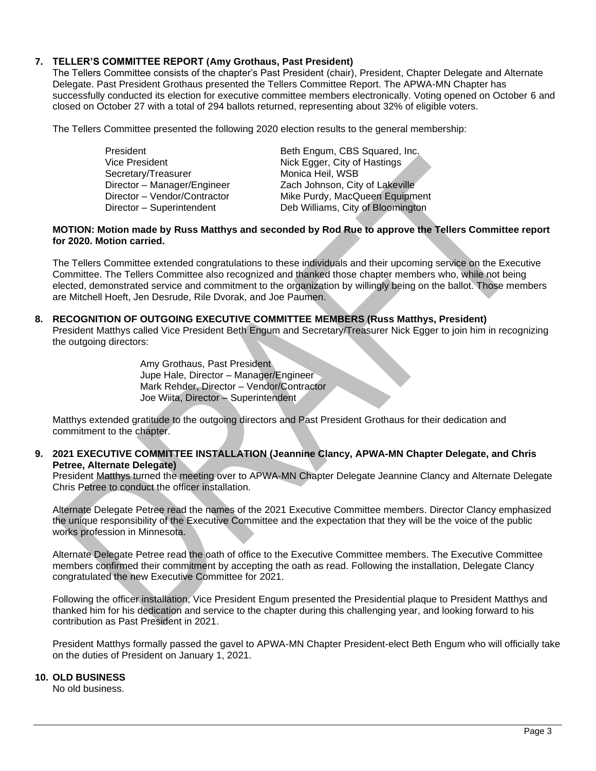# **7. TELLER'S COMMITTEE REPORT (Amy Grothaus, Past President)**

The Tellers Committee consists of the chapter's Past President (chair), President, Chapter Delegate and Alternate Delegate. Past President Grothaus presented the Tellers Committee Report. The APWA-MN Chapter has successfully conducted its election for executive committee members electronically. Voting opened on October 6 and closed on October 27 with a total of 294 ballots returned, representing about 32% of eligible voters.

The Tellers Committee presented the following 2020 election results to the general membership:

Secretary/Treasurer Monica Heil, WSB

President **Beth Engum, CBS Squared, Inc.** Vice President Nick Egger, City of Hastings Director – Manager/Engineer Zach Johnson, City of Lakeville Director – Vendor/Contractor Mike Purdy, MacQueen Equipment Director – Superintendent Deb Williams, City of Bloomington

### **MOTION: Motion made by Russ Matthys and seconded by Rod Rue to approve the Tellers Committee report for 2020. Motion carried.**

The Tellers Committee extended congratulations to these individuals and their upcoming service on the Executive Committee. The Tellers Committee also recognized and thanked those chapter members who, while not being elected, demonstrated service and commitment to the organization by willingly being on the ballot. Those members are Mitchell Hoeft, Jen Desrude, Rile Dvorak, and Joe Paumen.

# **8. RECOGNITION OF OUTGOING EXECUTIVE COMMITTEE MEMBERS (Russ Matthys, President)**

President Matthys called Vice President Beth Engum and Secretary/Treasurer Nick Egger to join him in recognizing the outgoing directors:

> Amy Grothaus, Past President Jupe Hale, Director – Manager/Engineer Mark Rehder, Director – Vendor/Contractor Joe Wiita, Director – Superintendent

Matthys extended gratitude to the outgoing directors and Past President Grothaus for their dedication and commitment to the chapter.

### **9. 2021 EXECUTIVE COMMITTEE INSTALLATION (Jeannine Clancy, APWA-MN Chapter Delegate, and Chris Petree, Alternate Delegate)**

President Matthys turned the meeting over to APWA-MN Chapter Delegate Jeannine Clancy and Alternate Delegate Chris Petree to conduct the officer installation.

Alternate Delegate Petree read the names of the 2021 Executive Committee members. Director Clancy emphasized the unique responsibility of the Executive Committee and the expectation that they will be the voice of the public works profession in Minnesota.

Alternate Delegate Petree read the oath of office to the Executive Committee members. The Executive Committee members confirmed their commitment by accepting the oath as read. Following the installation, Delegate Clancy congratulated the new Executive Committee for 2021.

Following the officer installation, Vice President Engum presented the Presidential plaque to President Matthys and thanked him for his dedication and service to the chapter during this challenging year, and looking forward to his contribution as Past President in 2021.

President Matthys formally passed the gavel to APWA-MN Chapter President-elect Beth Engum who will officially take on the duties of President on January 1, 2021.

# **10. OLD BUSINESS**

No old business.